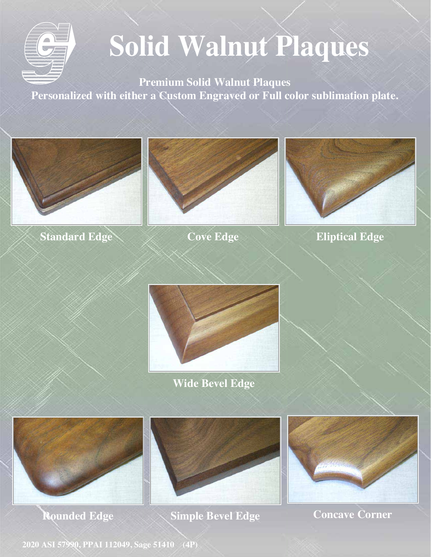

**Premium Solid Walnut Plaques Personalized with either a Custom Engraved or Full color sublimation plate.**



**Standard Edge**



**Cove Edge**



**Eliptical Edge**



**Wide Bevel Edge**



**Rounded Edge Simple Bevel Edge**

**Concave Corner**

**2020 ASI 57990, PPAI 112049, Sage 51410 (4P)**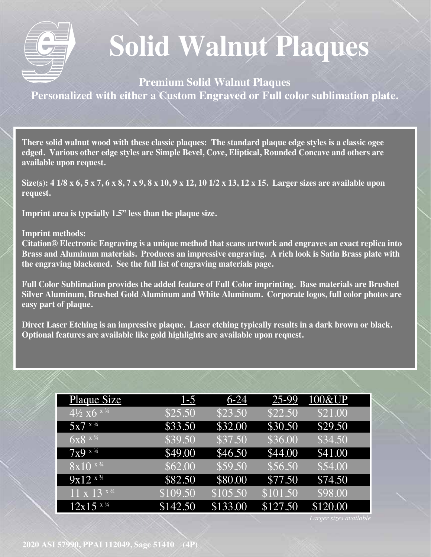

**Premium Solid Walnut Plaques Personalized with either a Custom Engraved or Full color sublimation plate.**

**There solid walnut wood with these classic plaques: The standard plaque edge styles is a classic ogee edged. Various other edge styles are Simple Bevel, Cove, Eliptical, Rounded Concave and others are available upon request.** 

**Size(s): 4 1/8 x 6, 5 x 7, 6 x 8, 7 x 9, 8 x 10, 9 x 12, 10 1/2 x 13, 12 x 15. Larger sizes are available upon request.**

**Imprint area is typcially 1.5" less than the plaque size.** 

#### **Imprint methods:**

**Citation® Electronic Engraving is a unique method that scans artwork and engraves an exact replica into Brass and Aluminum materials. Produces an impressive engraving. A rich look is Satin Brass plate with the engraving blackened. See the full list of engraving materials page.**

**Full Color Sublimation provides the added feature of Full Color imprinting. Base materials are Brushed Silver Aluminum, Brushed Gold Aluminum and White Aluminum. Corporate logos, full color photos are easy part of plaque.** 

**Direct Laser Etching is an impressive plaque. Laser etching typically results in a dark brown or black. Optional features are available like gold highlights are available upon request.**

| <b>Plaque Size</b>                           | $1-5$    | $6-24$   | 25-99    | 100&UP   |
|----------------------------------------------|----------|----------|----------|----------|
| $\frac{1}{4\sqrt{2}} \times 6^{\frac{x}{4}}$ | \$25.50  | \$23.50  | \$22.50  | \$21.00  |
| $5x7^{x}$                                    | \$33.50  | \$32.00  | \$30.50  | \$29.50  |
| $6x8^{x}$                                    | \$39.50  | \$37.50  | \$36.00  | \$34.50  |
| $7x9^{x}\%$                                  | \$49.00  | \$46.50  | \$44.00  | \$41.00  |
| $\sqrt{8x10^{-x^{3/4}}}$                     | \$62.00  | \$59.50  | \$56.50  | \$54.00  |
| $9x12^{x}$                                   | \$82.50  | \$80.00  | \$77.50  | \$74.50  |
| $\sqrt{11} \times \sqrt{13}$ x 34            | \$109.50 | \$105.50 | \$101.50 | \$98.00  |
| $12x15^{x}$                                  | \$142.50 | \$133.00 | \$127.50 | \$120.00 |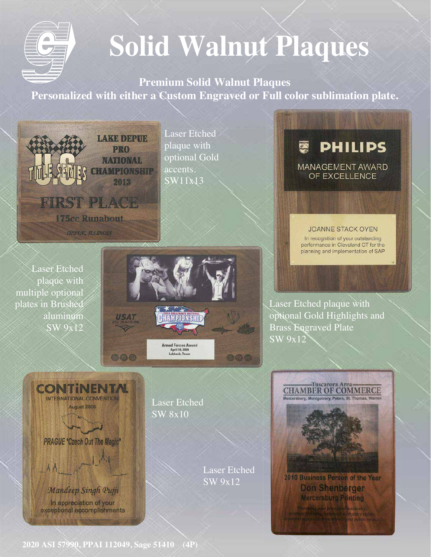

**Premium Solid Walnut Plaques Personalized with either a Custom Engraved or Full color sublimation plate.**



Laser Etched plaque with optional Gold accents.  $\overline{\text{SW11x13}}$ 

**PHILIPS** A **MANAGEMENT AWARD** OF EXCELLENCE

**JOANNE STACK OYEN** 

In recognition of your outstanding performance in Cleveland CT for the planning and implementation of SAP

Laser Etched plaque with multiple optional plates in Brushed aluminum SW 9x12

 $AA$ 

CONTINEN

INTERNATIONAL CONVENTION

August 2006

**PRAGUE \*Czech Out The Magic\*** 

Mandeep Singh Pujji

In appreciation of your

exceptional accomplishments



Laser Etched SW 8x10

> Laser Etched SW 9x12

Laser Etched plaque with optional Gold Highlights and Brass Engraved Plate SW 9x12



**2020 ASI 57990, PPAI 112049, Sage 51410 (4P)**